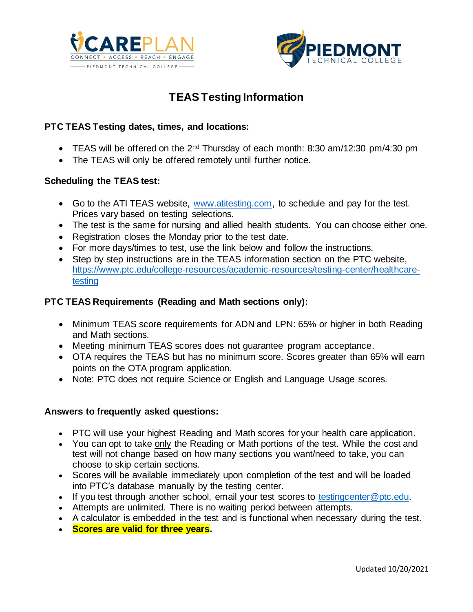



## **TEAS Testing Information**

#### **PTC TEAS Testing dates, times, and locations:**

- TEAS will be offered on the 2<sup>nd</sup> Thursday of each month: 8:30 am/12:30 pm/4:30 pm
- The TEAS will only be offered remotely until further notice.

#### **Scheduling the TEAS test:**

- Go to the ATI TEAS website, [www.atitesting.com,](http://www.atitesting.com/) to schedule and pay for the test. Prices vary based on testing selections.
- The test is the same for nursing and allied health students. You can choose either one.
- Registration closes the Monday prior to the test date.
- For more days/times to test, use the link below and follow the instructions.
- Step by step instructions are in the TEAS information section on the PTC website, [https://www.ptc.edu/college-resources/academic-resources/testing-center/healthcare](https://www.ptc.edu/college-resources/academic-resources/testing-center/healthcare-testing)[testing](https://www.ptc.edu/college-resources/academic-resources/testing-center/healthcare-testing)

#### **PTC TEAS Requirements (Reading and Math sections only):**

- Minimum TEAS score requirements for ADN and LPN: 65% or higher in both Reading and Math sections.
- Meeting minimum TEAS scores does not guarantee program acceptance.
- OTA requires the TEAS but has no minimum score. Scores greater than 65% will earn points on the OTA program application.
- Note: PTC does not require Science or English and Language Usage scores.

#### **Answers to frequently asked questions:**

- PTC will use your highest Reading and Math scores for your health care application.
- You can opt to take only the Reading or Math portions of the test. While the cost and test will not change based on how many sections you want/need to take, you can choose to skip certain sections.
- Scores will be available immediately upon completion of the test and will be loaded into PTC's database manually by the testing center.
- If you test through another school, email your test scores to [testingcenter@ptc.edu.](mailto:testingcenter@ptc.edu)
- Attempts are unlimited. There is no waiting period between attempts.
- A calculator is embedded in the test and is functional when necessary during the test.
- **Scores are valid for three years.**